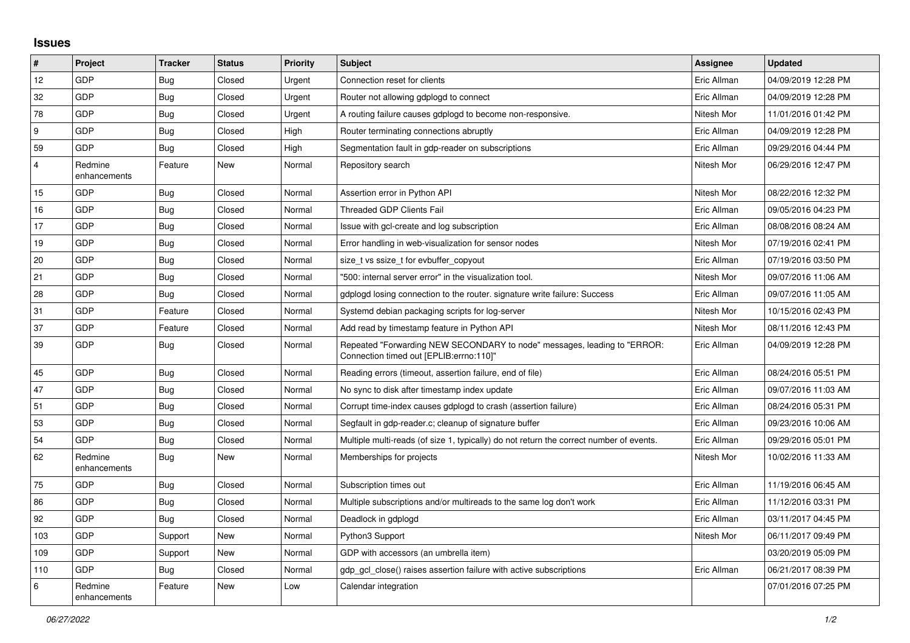## **Issues**

| $\#$           | Project                 | <b>Tracker</b> | <b>Status</b> | <b>Priority</b> | <b>Subject</b>                                                                                                      | Assignee    | <b>Updated</b>      |
|----------------|-------------------------|----------------|---------------|-----------------|---------------------------------------------------------------------------------------------------------------------|-------------|---------------------|
| 12             | GDP                     | <b>Bug</b>     | Closed        | Urgent          | Connection reset for clients                                                                                        | Eric Allman | 04/09/2019 12:28 PM |
| 32             | GDP                     | <b>Bug</b>     | Closed        | Urgent          | Router not allowing gdplogd to connect                                                                              | Eric Allman | 04/09/2019 12:28 PM |
| 78             | GDP                     | Bug            | Closed        | Urgent          | A routing failure causes gdplogd to become non-responsive.                                                          | Nitesh Mor  | 11/01/2016 01:42 PM |
| 9              | GDP                     | <b>Bug</b>     | Closed        | High            | Router terminating connections abruptly                                                                             | Eric Allman | 04/09/2019 12:28 PM |
| 59             | GDP                     | Bug            | Closed        | High            | Segmentation fault in gdp-reader on subscriptions                                                                   | Eric Allman | 09/29/2016 04:44 PM |
| $\overline{4}$ | Redmine<br>enhancements | Feature        | New           | Normal          | Repository search                                                                                                   | Nitesh Mor  | 06/29/2016 12:47 PM |
| 15             | GDP                     | Bug            | Closed        | Normal          | Assertion error in Python API                                                                                       | Nitesh Mor  | 08/22/2016 12:32 PM |
| 16             | <b>GDP</b>              | <b>Bug</b>     | Closed        | Normal          | <b>Threaded GDP Clients Fail</b>                                                                                    | Eric Allman | 09/05/2016 04:23 PM |
| 17             | GDP                     | <b>Bug</b>     | Closed        | Normal          | Issue with gcl-create and log subscription                                                                          | Eric Allman | 08/08/2016 08:24 AM |
| 19             | GDP                     | <b>Bug</b>     | Closed        | Normal          | Error handling in web-visualization for sensor nodes                                                                | Nitesh Mor  | 07/19/2016 02:41 PM |
| 20             | GDP                     | Bug            | Closed        | Normal          | size t vs ssize t for evbuffer copyout                                                                              | Eric Allman | 07/19/2016 03:50 PM |
| 21             | GDP                     | <b>Bug</b>     | Closed        | Normal          | "500: internal server error" in the visualization tool.                                                             | Nitesh Mor  | 09/07/2016 11:06 AM |
| 28             | GDP                     | Bug            | Closed        | Normal          | gdplogd losing connection to the router, signature write failure: Success                                           | Eric Allman | 09/07/2016 11:05 AM |
| 31             | GDP                     | Feature        | Closed        | Normal          | Systemd debian packaging scripts for log-server                                                                     | Nitesh Mor  | 10/15/2016 02:43 PM |
| 37             | <b>GDP</b>              | Feature        | Closed        | Normal          | Add read by timestamp feature in Python API                                                                         | Nitesh Mor  | 08/11/2016 12:43 PM |
| 39             | GDP                     | <b>Bug</b>     | Closed        | Normal          | Repeated "Forwarding NEW SECONDARY to node" messages, leading to "ERROR:<br>Connection timed out [EPLIB:errno:110]" | Eric Allman | 04/09/2019 12:28 PM |
| 45             | GDP                     | Bug            | Closed        | Normal          | Reading errors (timeout, assertion failure, end of file)                                                            | Eric Allman | 08/24/2016 05:51 PM |
| 47             | GDP                     | Bug            | Closed        | Normal          | No sync to disk after timestamp index update                                                                        | Eric Allman | 09/07/2016 11:03 AM |
| 51             | GDP                     | Bug            | Closed        | Normal          | Corrupt time-index causes gdplogd to crash (assertion failure)                                                      | Eric Allman | 08/24/2016 05:31 PM |
| 53             | <b>GDP</b>              | <b>Bug</b>     | Closed        | Normal          | Segfault in gdp-reader.c; cleanup of signature buffer                                                               | Eric Allman | 09/23/2016 10:06 AM |
| 54             | <b>GDP</b>              | <b>Bug</b>     | Closed        | Normal          | Multiple multi-reads (of size 1, typically) do not return the correct number of events.                             | Eric Allman | 09/29/2016 05:01 PM |
| 62             | Redmine<br>enhancements | <b>Bug</b>     | New           | Normal          | Memberships for projects                                                                                            | Nitesh Mor  | 10/02/2016 11:33 AM |
| 75             | GDP                     | <b>Bug</b>     | Closed        | Normal          | Subscription times out                                                                                              | Eric Allman | 11/19/2016 06:45 AM |
| 86             | GDP                     | <b>Bug</b>     | Closed        | Normal          | Multiple subscriptions and/or multireads to the same log don't work                                                 | Eric Allman | 11/12/2016 03:31 PM |
| 92             | GDP                     | Bug            | Closed        | Normal          | Deadlock in gdplogd                                                                                                 | Eric Allman | 03/11/2017 04:45 PM |
| 103            | GDP                     | Support        | <b>New</b>    | Normal          | Python3 Support                                                                                                     | Nitesh Mor  | 06/11/2017 09:49 PM |
| 109            | GDP                     | Support        | <b>New</b>    | Normal          | GDP with accessors (an umbrella item)                                                                               |             | 03/20/2019 05:09 PM |
| 110            | <b>GDP</b>              | Bug            | Closed        | Normal          | gdp_gcl_close() raises assertion failure with active subscriptions                                                  | Eric Allman | 06/21/2017 08:39 PM |
| 6              | Redmine<br>enhancements | Feature        | New           | Low             | Calendar integration                                                                                                |             | 07/01/2016 07:25 PM |